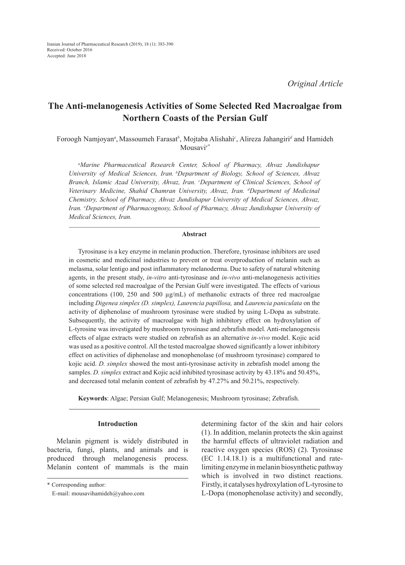*Original Article*

# **The Anti-melanogenesis Activities of Some Selected Red Macroalgae from Northern Coasts of the Persian Gulf**

Foroogh Namjoyan*<sup>a</sup>* , Massoumeh Farasat*<sup>b</sup>* , Mojtaba Alishahi*<sup>c</sup>* , Alireza Jahangiri*<sup>d</sup>* and Hamideh Mousavi*e\**

*a Marine Pharmaceutical Research Center, School of Pharmacy, Ahvaz Jundishapur University of Medical Sciences, Iran. bDepartment of Biology, School of Sciences, Ahvaz Branch, Islamic Azad University, Ahvaz, Iran. c Department of Clinical Sciences, School of Veterinary Medicine, Shahid Chamran University, Ahvaz, Iran. d Department of Medicinal Chemistry, School of Pharmacy, Ahvaz Jundishapur University of Medical Sciences, Ahvaz, Iran. e Department of Pharmacognosy, School of Pharmacy, Ahvaz Jundishapur University of Medical Sciences, Iran.*

## **Abstract**

Tyrosinase is a key enzyme in melanin production. Therefore, tyrosinase inhibitors are used in cosmetic and medicinal industries to prevent or treat overproduction of melanin such as melasma, solar lentigo and post inflammatory melanoderma. Due to safety of natural whitening agents, in the present study, *in-vitro* anti-tyrosinase and *in-vivo* anti-melanogenesis activities of some selected red macroalgae of the Persian Gulf were investigated. The effects of various concentrations (100, 250 and 500  $\mu$ g/mL) of methanolic extracts of three red macroalgae including *Digenea simplex (D. simplex), Laurencia papillosa,* and *Laurencia paniculata* on the activity of diphenolase of mushroom tyrosinase were studied by using L-Dopa as substrate. Subsequently, the activity of macroalgae with high inhibitory effect on hydroxylation of L-tyrosine was investigated by mushroom tyrosinase and zebrafish model. Anti-melanogenesis effects of algae extracts were studied on zebrafish as an alternative *in-vivo* model. Kojic acid was used as a positive control. All the tested macroalgae showed significantly a lower inhibitory effect on activities of diphenolase and monophenolase (of mushroom tyrosinase) compared to kojic acid. *D. simplex* showed the most anti-tyrosinase activity in zebrafish model among the samples. *D. simplex* extract and Kojic acid inhibited tyrosinase activity by 43.18% and 50.45%, and decreased total melanin content of zebrafish by 47.27% and 50.21%, respectively.

**Keywords**: Algae; Persian Gulf; Melanogenesis; Mushroom tyrosinase; Zebrafish.

## **Introduction**

Melanin pigment is widely distributed in bacteria, fungi, plants, and animals and is produced through melanogenesis process. Melanin content of mammals is the main determining factor of the skin and hair colors (1). In addition, melanin protects the skin against the harmful effects of ultraviolet radiation and reactive oxygen species (ROS) (2). Tyrosinase (EC 1.14.18.1) is a multifunctional and ratelimiting enzyme in melanin biosynthetic pathway which is involved in two distinct reactions. Firstly, it catalyses hydroxylation of L-tyrosine to L-Dopa (monophenolase activity) and secondly,

<sup>\*</sup> Corresponding author:

E-mail: mousavihamideh@yahoo.com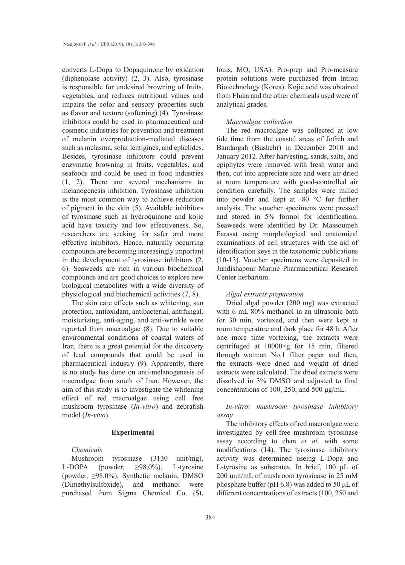converts L-Dopa to Dopaquinone by oxidation (diphenolase activity) (2, 3). Also, tyrosinase is responsible for undesired browning of fruits, vegetables, and reduces nutritional values and impairs the color and sensory properties such as flavor and texture (softening) (4). Tyrosinase inhibitors could be used in pharmaceutical and cosmetic industries for prevention and treatment of melanin overproduction-mediated diseases such as melasma, solar lentigines, and ephelides. Besides, tyrosinase inhibitors could prevent enzymatic browning in fruits, vegetables, and seafoods and could be used in food industries (1, 2). There are several mechanisms to melanogenesis inhibition. Tyrosinase inhibition is the most common way to achieve reduction of pigment in the skin (5). Available inhibitors of tyrosinase such as hydroquinone and kojic acid have toxicity and low effectiveness. So, researchers are seeking for safer and more effective inhibitors. Hence, naturally occurring compounds are becoming increasingly important in the development of tyrosinase inhibitors (2, 6). Seaweeds are rich in various biochemical compounds and are good choices to explore new biological metabolites with a wide diversity of physiological and biochemical activities (7, 8).

The skin care effects such as whitening, sun protection, antioxidant, antibacterial, antifungal, moisturizing, anti-aging, and anti-wrinkle were reported from macroalgae (8). Due to suitable environmental conditions of coastal waters of Iran, there is a great potential for the discovery of lead compounds that could be used in pharmaceutical industry (9). Apparently, there is no study has done on anti-melanogenesis of macroalgae from south of Iran. However, the aim of this study is to investigate the whitening effect of red macroalgae using cell free mushroom tyrosinase (*In-vitro*) and zebrafish model (*In-vivo*).

## **Experimental**

## *Chemicals*

Mushroom tyrosinase (3130 unit/mg), L-DOPA (powder, ≥98.0%), L-tyrosine (powder, ≥98.0%), Synthetic melanin, DMSO (Dimethylsulfoxide), and methanol were purchased from Sigma Chemical Co. (St. louis, MO, USA). Pro-prep and Pro-measure protein solutions were purchased from Intron Biotechnology (Korea). Kojic acid was obtained from Fluka and the other chemicals used were of analytical grades.

### *Macroalgae collection*

The red macroalgae was collected at low tide time from the coastal areas of Jofreh and Bandargah (Bushehr) in December 2010 and January 2012. After harvesting, sands, salts, and epiphytes were removed with fresh water and then, cut into appreciate size and were air-dried at room temperature with good-controlled air condition carefully. The samples were milled into powder and kept at -80 °C for further analysis. The voucher specimens were pressed and stored in 5% formol for identification. Seaweeds were identified by Dr. Massoumeh Farasat using morphological and anatomical examinations of cell structures with the aid of identification keys in the taxonomic publications (10-13). Voucher specimens were deposited in Jundishapour Marine Pharmaceutical Research Center herbarium.

## *Algal extracts preparation*

Dried algal powder (200 mg) was extracted with 6 mL 80% methanol in an ultrasonic bath for 30 min, vortexed, and then were kept at room temperature and dark place for 48 h. After one more time vortexing, the extracts were centrifuged at 10000×g for 15 min, filtered through watman No.1 filter paper and then, the extracts were dried and weight of dried extracts were calculated. The dried extracts were dissolved in 3% DMSO and adjusted to final concentrations of 100, 250, and 500 μg/mL.

*In-vitro: mushroom tyrosinase inhibitory assay*

The inhibitory effects of red macroalgae were investigated by cell-free mushroom tyrosinase assay according to chan *et al*. with some modifications (14). The tyrosinase inhibitory activity was determined useing L-Dopa and L-tyrosine as substrates. In brief, 100 μL of 200 unit/mL of mushroom tyrosinase in 25 mM phosphate buffer (pH 6.8) was added to 50 μL of different concentrations of extracts (100, 250 and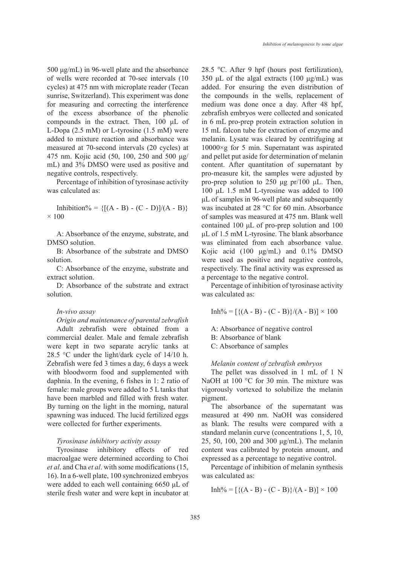500 μg/mL) in 96-well plate and the absorbance of wells were recorded at 70-sec intervals (10 cycles) at 475 nm with microplate reader (Tecan sunrise, Switzerland). This experiment was done for measuring and correcting the interference of the excess absorbance of the phenolic compounds in the extract. Then, 100 μL of L-Dopa (2.5 mM) or L-tyrosine (1.5 mM) were added to mixture reaction and absorbance was measured at 70-second intervals (20 cycles) at 475 nm. Kojic acid (50, 100, 250 and 500 μg/ mL) and 3% DMSO were used as positive and negative controls, respectively.

Percentage of inhibition of tyrosinase activity was calculated as:

Inhibition% =  ${[(A - B) - (C - D)]/(A - B)}$  $\times$  100

A: Absorbance of the enzyme, substrate, and DMSO solution.

B: Absorbance of the substrate and DMSO solution.

C: Absorbance of the enzyme, substrate and extract solution.

D: Absorbance of the substrate and extract solution.

## *In-vivo assay*

*Origin and maintenance of parental zebrafish*  Adult zebrafish were obtained from a commercial dealer. Male and female zebrafish were kept in two separate acrylic tanks at 28.5 °C under the light/dark cycle of 14/10 h. Zebrafish were fed 3 times a day, 6 days a week with bloodworm food and supplemented with daphnia. In the evening, 6 fishes in 1: 2 ratio of female: male groups were added to 5 L tanks that have been marbled and filled with fresh water. By turning on the light in the morning, natural spawning was induced. The lucid fertilized eggs were collected for further experiments.

*Tyrosinase inhibitory activity assay* 

Tyrosinase inhibitory effects of red macroalgae were determined according to Choi *et al*. and Cha *et al*. with some modifications (15, 16). In a 6-well plate, 100 synchronized embryos were added to each well containing 6650 μL of sterile fresh water and were kept in incubator at 28.5 °C. After 9 hpf (hours post fertilization), 350 μL of the algal extracts  $(100 \mu g/mL)$  was added. For ensuring the even distribution of the compounds in the wells, replacement of medium was done once a day. After 48 hpf, zebrafish embryos were collected and sonicated in 6 mL pro-prep protein extraction solution in 15 mL falcon tube for extraction of enzyme and melanin. Lysate was cleared by centrifuging at 10000×g for 5 min. Supernatant was aspirated and pellet put aside for determination of melanin content. After quantitation of supernatant by pro-measure kit, the samples were adjusted by pro-prep solution to 250 μg pr/100 μL. Then, 100 μL 1.5 mM L-tyrosine was added to 100 μL of samples in 96-well plate and subsequently was incubated at 28 °C for 60 min. Absorbance of samples was measured at 475 nm. Blank well contained 100 μL of pro-prep solution and 100 μL of 1.5 mM L-tyrosine. The blank absorbance was eliminated from each absorbance value. Kojic acid (100 μg/mL) and 0.1% DMSO were used as positive and negative controls, respectively. The final activity was expressed as a percentage to the negative control.

Percentage of inhibition of tyrosinase activity was calculated as:

 $Inh\% = [\{(A - B) - (C - B)\}/(A - B)] \times 100$ 

A: Absorbance of negative control B: Absorbance of blank C: Absorbance of samples

#### *Melanin content of zebrafish embryos*

The pellet was dissolved in 1 mL of 1 N NaOH at 100 °C for 30 min. The mixture was vigorously vortexed to solubilize the melanin pigment.

The absorbance of the supernatant was measured at 490 nm. NaOH was considered as blank. The results were compared with a standard melanin curve (concentrations 1, 5, 10, 25, 50, 100, 200 and 300 μg/mL). The melanin content was calibrated by protein amount, and expressed as a percentage to negative control.

Percentage of inhibition of melanin synthesis was calculated as:

 $Inh\% = [\{(A - B) - (C - B)\}/(A - B)] \times 100$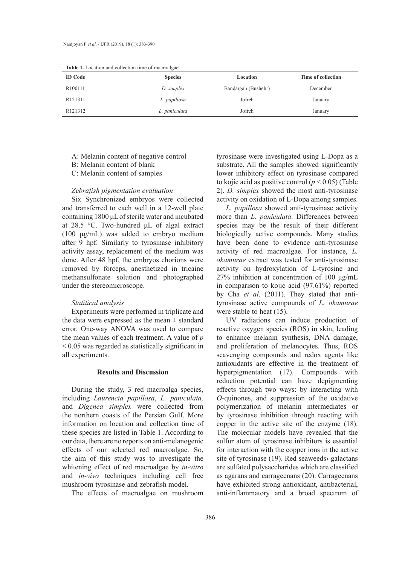| <b>ID</b> Code      | <b>Species</b> | Location            | Time of collection |
|---------------------|----------------|---------------------|--------------------|
| R <sub>100111</sub> | D. simplex     | Bandargah (Bushehr) | December           |
| R <sub>121311</sub> | L. papillosa   | Jofreh              | January            |
| R <sub>121312</sub> | L. paniculata  | Jofreh              | January            |

**Table 1.** Location and collection time of macroalgae.

A: Melanin content of negative control

B: Melanin content of blank

C: Melanin content of samples

## *Zebrafish pigmentation evaluation*

Six Synchronized embryos were collected and transferred to each well in a 12-well plate containing 1800 μL of sterile water and incubated at 28.5 °C. Two-hundred μL of algal extract (100 μg/mL) was added to embryo medium after 9 hpf. Similarly to tyrosinase inhibitory activity assay, replacement of the medium was done. After 48 hpf, the embryos chorions were removed by forceps, anesthetized in tricaine methansulfonate solution and photographed under the stereomicroscope.

#### *Statitical analysis*

Experiments were performed in triplicate and the data were expressed as the mean  $\pm$  standard error. One-way ANOVA was used to compare the mean values of each treatment. A value of *p* < 0.05 was regarded as statistically significant in all experiments.

## **Results and Discussion**

During the study, 3 red macroalga species, including *Laurencia papillosa*, *L. paniculata,* and *Digenea simplex* were collected from the northern coasts of the Persian Gulf. More information on location and collection time of these species are listed in Table 1. According to our data, there are no reports on anti-melanogenic effects of our selected red macroalgae. So, the aim of this study was to investigate the whitening effect of red macroalgae by *in-vitro* and *in-vivo* techniques including cell free mushroom tyrosinase and zebrafish model.

The effects of macroalgae on mushroom

tyrosinase were investigated using L-Dopa as a substrate. All the samples showed significantly lower inhibitory effect on tyrosinase compared to kojic acid as positive control  $(p < 0.05)$  (Table 2). *D. simplex* showed the most anti-tyrosinase activity on oxidation of L-Dopa among samples.

*L. papillosa* showed anti-tyrosinase activity more than *L. paniculata*. Differences between species may be the result of their different biologically active compounds. Many studies have been done to evidence anti-tyrosinase activity of red macroalgae. For instance, *L. okamurae* extract was tested for anti-tyrosinase activity on hydroxylation of L-tyrosine and 27% inhibition at concentration of 100 μg/mL in comparison to kojic acid (97.61%) reported by Cha *et al*. (2011). They stated that antityrosinase active compounds of *L. okamurae* were stable to heat (15).

UV radiations can induce production of reactive oxygen species (ROS) in skin, leading to enhance melanin synthesis, DNA damage, and proliferation of melanocytes. Thus, ROS scavenging compounds and redox agents like antioxidants are effective in the treatment of hyperpigmentation (17). Compounds with reduction potential can have depigmenting effects through two ways: by interacting with *O*-quinones, and suppression of the oxidative polymerization of melanin intermediates or by tyrosinase inhibition through reacting with copper in the active site of the enzyme (18). The molecular models have revealed that the sulfur atom of tyrosinase inhibitors is essential for interaction with the copper ions in the active site of tyrosinase (19). Red seaweeds› galactans are sulfated polysaccharides which are classified as agarans and carrageenans (20). Carrageenans have exhibited strong antioxidant, antibacterial, anti-inflammatory and a broad spectrum of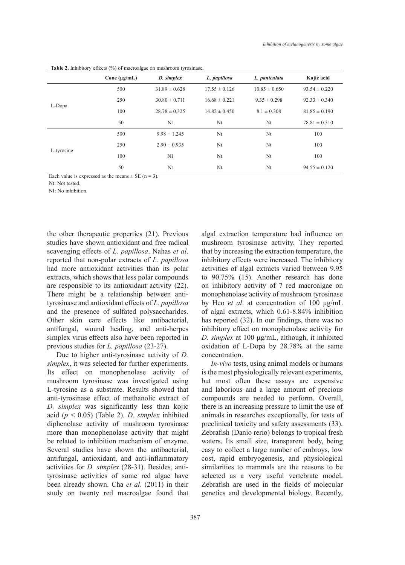|            | Conc $(\mu g/mL)$ | D. simplex        | L. papillosa      | L. paniculata     | Kojic acid        |  |  |
|------------|-------------------|-------------------|-------------------|-------------------|-------------------|--|--|
| L-Dopa     | 500               | $31.89 \pm 0.628$ | $17.55 \pm 0.126$ | $10.85 \pm 0.650$ | $93.54 \pm 0.220$ |  |  |
|            | 250               | $30.80 \pm 0.711$ | $16.68 \pm 0.221$ | $9.35 \pm 0.298$  | $92.33 \pm 0.340$ |  |  |
|            | 100               | $28.78 \pm 0.325$ | $14.82 \pm 0.450$ | $8.1 \pm 0.308$   | $81.85 \pm 0.190$ |  |  |
|            | 50                | Nt                | Nt                | Nt                | $78.81 \pm 0.310$ |  |  |
| L-tyrosine | 500               | $9.98 \pm 1.245$  | Nt                | Nt                | 100               |  |  |
|            | 250               | $2.90 \pm 0.935$  | Nt                | Nt                | 100               |  |  |
|            | 100               | NI                | Nt                | Nt                | 100               |  |  |
|            | 50                | Nt                | Nt                | N <sub>t</sub>    | $94.55 \pm 0.120$ |  |  |

**Table 2.** Inhibitory effects (%) of macroalgae on mushroom tyrosinase.

Each value is expressed as the means  $\pm$  SE (n = 3).

Nt: Not tested.

NI: No inhibition.

the other therapeutic properties (21). Previous studies have shown antioxidant and free radical scavenging effects of *L. papillosa*. Nahas *et al*. reported that non-polar extracts of *L. papillosa* had more antioxidant activities than its polar extracts, which shows that less polar compounds are responsible to its antioxidant activity (22). There might be a relationship between antityrosinase and antioxidant effects of *L. papillosa* and the presence of sulfated polysaccharides. Other skin care effects like antibacterial, antifungal, wound healing, and anti-herpes simplex virus effects also have been reported in previous studies for *L. papillosa* (23-27).

Due to higher anti-tyrosinase activity of *D. simplex*, it was selected for further experiments. Its effect on monophenolase activity of mushroom tyrosinase was investigated using L-tyrosine as a substrate. Results showed that anti-tyrosinase effect of methanolic extract of *D. simplex* was significantly less than kojic acid (*p* < 0.05) (Table 2). *D. simplex* inhibited diphenolase activity of mushroom tyrosinase more than monophenolase activity that might be related to inhibition mechanism of enzyme. Several studies have shown the antibacterial, antifungal, antioxidant, and anti-inflammatory activities for *D. simplex* (28-31). Besides, antityrosinase activities of some red algae have been already shown. Cha *et al*. (2011) in their study on twenty red macroalgae found that

algal extraction temperature had influence on mushroom tyrosinase activity. They reported that by increasing the extraction temperature, the inhibitory effects were increased. The inhibitory activities of algal extracts varied between 9.95 to 90.75% (15). Another research has done on inhibitory activity of 7 red macroalgae on monophenolase activity of mushroom tyrosinase by Heo *et al*. at concentration of 100 μg/mL of algal extracts, which 0.61-8.84% inhibition has reported (32). In our findings, there was no inhibitory effect on monophenolase activity for *D. simplex* at 100 μg/mL, although, it inhibited oxidation of L-Dopa by 28.78% at the same concentration.

*In-vivo* tests, using animal models or humans is the most physiologically relevant experiments, but most often these assays are expensive and laborious and a large amount of precious compounds are needed to perform. Overall, there is an increasing pressure to limit the use of animals in researches exceptionally, for tests of preclinical toxicity and safety assessments (33). Zebrafish (Danio rerio) belongs to tropical fresh waters. Its small size, transparent body, being easy to collect a large number of embroys, low cost, rapid embryogenesis, and physiological similarities to mammals are the reasons to be selected as a very useful vertebrate model. Zebrafish are used in the fields of molecular genetics and developmental biology. Recently,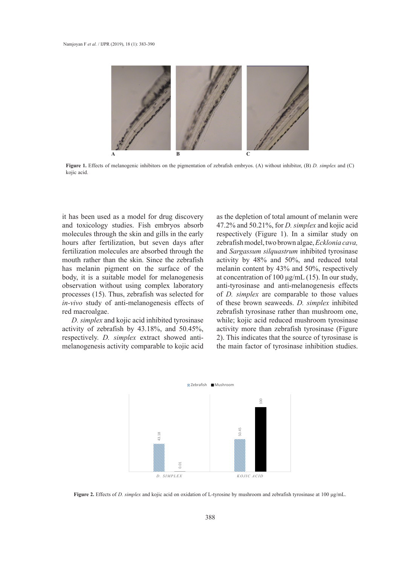

Figure 1. Effects of melanogenic inhibitors on the pigmentation of zebrafish embryos. (A) without inhibitor, (B) *D. simplex* and (C) kojic acid.

it has been used as a model for drug discovery and toxicology studies. Fish embryos absorb molecules through the skin and gills in the early hours after fertilization, but seven days after fertilization molecules are absorbed through the mouth rather than the skin. Since the zebrafish has melanin pigment on the surface of the body, it is a suitable model for melanogenesis observation without using complex laboratory processes (15). Thus, zebrafish was selected for *in-vivo* study of anti-melanogenesis effects of red macroalgae.

*D. simplex* and kojic acid inhibited tyrosinase activity of zebrafish by 43.18%, and 50.45%, respectively. *D. simplex* extract showed antimelanogenesis activity comparable to kojic acid

as the depletion of total amount of melanin were 47.2% and 50.21%, for *D. simplex* and kojic acid respectively (Figure 1). In a similar study on zebrafish model, two brown algae, *Ecklonia cava,* and *Sargassum silquastrum* inhibited tyrosinase activity by 48% and 50%, and reduced total melanin content by 43% and 50%, respectively at concentration of 100 μg/mL (15). In our study, anti-tyrosinase and anti-melanogenesis effects of *D. simplex* are comparable to those values of these brown seaweeds. *D. simplex* inhibited 13 zebrafish tyrosinase rather than mushroom one, while; kojic acid reduced mushroom tyrosinase activity more than zebrafish tyrosinase (Figure 2). This indicates that the source of tyrosinase is the main factor of tyrosinase inhibition studies.



**Figure 2.** Effects of *D. simplex* and kojic acid on oxidation of L-tyrosine by mushroom and zebrafish tyrosinase at 100 μg/mL.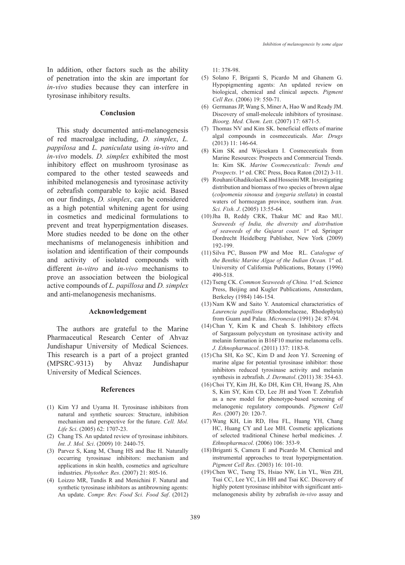In addition, other factors such as the ability of penetration into the skin are important for *in-vivo* studies because they can interfere in tyrosinase inhibitory results.

#### **Conclusion**

This study documented anti-melanogenesis of red macroalgae including, *D. simplex*, *L. pappilosa* and *L. paniculata* using *in-vitro* and *in-vivo* models. *D. simplex* exhibited the most inhibitory effect on mushroom tyrosinase as compared to the other tested seaweeds and inhibited melanogenesis and tyrosinase activity of zebrafish comparable to kojic acid. Based on our findings, *D. simplex*, can be considered as a high potential whitening agent for using in cosmetics and medicinal formulations to prevent and treat hyperpigmentation diseases. More studies needed to be done on the other mechanisms of melanogenesis inhibition and isolation and identification of their compounds and activity of isolated compounds with different *in-vitro* and *in-vivo* mechanisms to prove an association between the biological active compounds of *L. papillosa* and *D. simplex* and anti-melanogenesis mechanisms.

### **Acknowledgement**

The authors are grateful to the Marine Pharmaceutical Research Center of Ahvaz Jundishapur University of Medical Sciences. This research is a part of a project granted (MPSRC-9313) by Ahvaz Jundishapur University of Medical Sciences.

#### **References**

- (1) Kim YJ and Uyama H. Tyrosinase inhibitors from natural and synthetic sources: Structure, inhibition mechanism and perspective for the future. *Cell. Mol. Life Sci*. (2005) 62: 1707-23.
- Chang TS. An updated review of tyrosinase inhibitors. (2) *Int. J. Mol. Sci*. (2009) 10: 2440-75.
- Parvez S, Kang M, Chung HS and Bae H. Naturally (3) occurring tyrosinase inhibitors: mechanism and applications in skin health, cosmetics and agriculture industries. *Phytother. Res*. (2007) 21: 805-16.
- Loizzo MR, Tundis R and Menichini F. Natural and (4)synthetic tyrosinase inhibitors as antibrowning agents: An update. *Compr. Rev. Food Sci. Food Saf*. (2012)

11: 378-98.

- $(5)$  Solano F, Briganti S, Picardo M and Ghanem G. Hypopigmenting agents: An updated review on biological, chemical and clinical aspects. *Pigment Cell Res*. (2006) 19: 550-71.
- (6) Germanas JP, Wang S, Miner A, Hao W and Ready JM. Discovery of small-molecule inhibitors of tyrosinase. *Bioorg. Med. Chem. Lett*. (2007) 17: 6871-5.
- (7) Thomas NV and Kim SK. beneficial effects of marine algal compounds in cosmeceuticals. *Mar. Drugs* (2013) 11: 146-64.
- (8) Kim SK and Wijesekara I. Cosmeceuticals from Marine Resources: Prospects and Commercial Trends. In: Kim SK. *Marine Cosmeceuticals: Trends and Prospects*. 1<sup>st</sup> ed. CRC Press, Boca Raton (2012) 3-11.
- (9) Rouhani Ghadikolaei K and Hosseini MR. Investigating distribution and biomass of two species of brown algae (*colpomenia sinousa* and *iyngaria stellata*) in coastal waters of hormozgan province, southern iran. *Iran. Sci. Fish. J*. (2005) 13:55-64.
- (10) Jha B, Reddy CRK, Thakur MC and Rao MU. *Seaweeds of India, the diversity and distribution of seaweeds of the Gujarat coast.* 1<sup>st</sup> ed. Springer Dordrecht Heidelberg Publisher, New York (2009) 192-199.
- (11) Silva PC, Basson PW and Moe RL. *Catalogue of the Benthic Marine Algae of the Indian Ocean.* 1<sup>st</sup> ed. University of California Publications, Botany (1996) 490-518.
- (12) Tseng CK. Common Seaweeds of China. 1st ed. Science Press, Beijing and Kugler Publications, Amsterdam, Berkeley (1984) 146-154.
- (13) Nam KW and Saito Y. Anatomical characteristics of *Laurencia papillosa* (Rhodomelaceae, Rhodophyta) from Guam and Palau. *Micronesia* (1991) 24: 87-94.
- (14) Chan Y, Kim K and Cheah S. Inhibitory effects of Sargassum polycystum on tyrosinase activity and melanin formation in B16F10 murine melanoma cells. *J. Ethnopharmacol*. (2011) 137: 1183-8.
- (15) Cha SH, Ko SC, Kim D and Jeon YJ. Screening of marine algae for potential tyrosinase inhibitor: those inhibitors reduced tyrosinase activity and melanin synthesis in zebrafish. *J. Dermatol*. (2011) 38: 354-63.
- (16) Choi TY, Kim JH, Ko DH, Kim CH, Hwang JS, Ahn S, Kim SY, Kim CD, Lee JH and Yoon T. Zebrafish as a new model for phenotype-based screening of melanogenic regulatory compounds. *Pigment Cell Res*. (2007) 20: 120-7.
- Wang KH, Lin RD, Hsu FL, Huang YH, Chang (17) HC, Huang CY and Lee MH. Cosmetic applications of selected traditional Chinese herbal medicines. *J. Ethnopharmacol*. (2006) 106: 353-9.
- (18) Briganti S, Camera E and Picardo M. Chemical and instrumental approaches to treat hyperpigmentation. *Pigment Cell Res*. (2003) 16: 101-10.
- (19) Chen WC, Tseng TS, Hsiao NW, Lin YL, Wen ZH, Tsai CC, Lee YC, Lin HH and Tsai KC. Discovery of highly potent tyrosinase inhibitor with significant antimelanogenesis ability by zebrafish *in-vivo* assay and